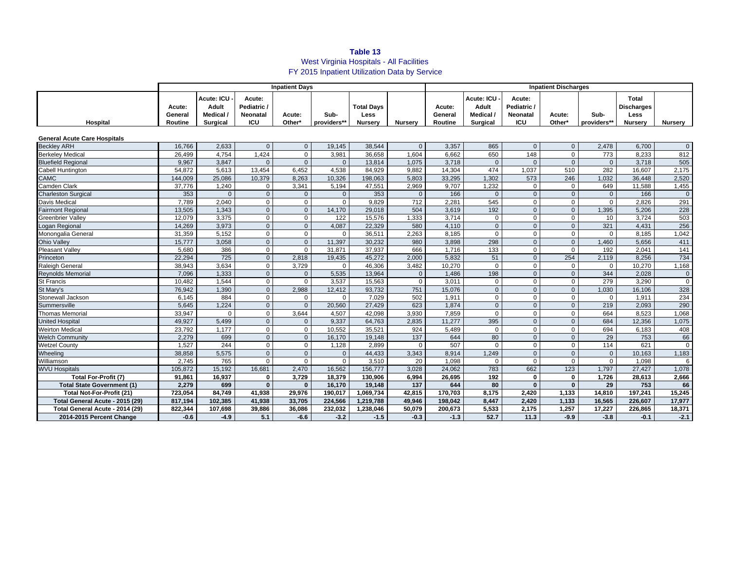# **Table 13** West Virginia Hospitals - All Facilities FY 2015 Inpatient Utilization Data by Service

|                                     | <b>Inpatient Days</b>        |                                                     |                                                        |                  |                     |                                             |                | <b>Inpatient Discharges</b>  |                                                     |                                                 |                  |                     |                                                             |                  |  |
|-------------------------------------|------------------------------|-----------------------------------------------------|--------------------------------------------------------|------------------|---------------------|---------------------------------------------|----------------|------------------------------|-----------------------------------------------------|-------------------------------------------------|------------------|---------------------|-------------------------------------------------------------|------------------|--|
| Hospital                            | Acute:<br>General<br>Routine | Acute: ICU<br>Adult<br>Medical /<br><b>Surgical</b> | Acute:<br>Pediatric /<br><b>Neonatal</b><br><b>ICU</b> | Acute:<br>Other* | Sub-<br>providers** | <b>Total Days</b><br>Less<br><b>Nurserv</b> | <b>Nurserv</b> | Acute:<br>General<br>Routine | Acute: ICU<br>Adult<br>Medical /<br><b>Surgical</b> | Acute:<br>Pediatric /<br>Neonatal<br><b>ICU</b> | Acute:<br>Other* | Sub-<br>providers** | <b>Total</b><br><b>Discharges</b><br>Less<br><b>Nurserv</b> | <b>Nurserv</b>   |  |
|                                     |                              |                                                     |                                                        |                  |                     |                                             |                |                              |                                                     |                                                 |                  |                     |                                                             |                  |  |
| <b>General Acute Care Hospitals</b> |                              |                                                     |                                                        |                  |                     |                                             |                |                              |                                                     |                                                 |                  |                     |                                                             |                  |  |
| <b>Becklev ARH</b>                  | 16.766                       | 2,633                                               | $\mathbf{0}$                                           | $\Omega$         | 19,145              | 38,544                                      | $\Omega$       | 3,357                        | 865                                                 | $\mathbf{0}$                                    | $\mathbf{0}$     | 2,478               | 6,700                                                       | $\mathbf 0$      |  |
| <b>Berkeley Medical</b>             | 26,499                       | 4,754                                               | 1.424                                                  | $\Omega$         | 3,981               | 36.658                                      | 1.604          | 6.662                        | 650                                                 | 148                                             | $\mathbf 0$      | 773                 | 8.233                                                       | 812              |  |
| <b>Bluefield Regional</b>           | 9,967                        | 3,847                                               | $\mathbf{0}$                                           | $\Omega$         | $\mathbf{0}$        | 13,814                                      | 1,075          | 3,718                        | $\mathbf{0}$                                        | $\Omega$                                        | $\Omega$         | $\mathbf{0}$        | 3,718                                                       | 505              |  |
| Cabell Huntington                   | 54,872                       | 5.613                                               | 13.454                                                 | 6.452            | 4.538               | 84.929                                      | 9.882          | 14.304                       | 474                                                 | 1,037                                           | 510              | 282                 | 16.607                                                      | 2,175            |  |
| <b>CAMC</b>                         | 144,009                      | 25,086                                              | 10,379                                                 | 8,263            | 10,326              | 198,063                                     | 5,803          | 33,295                       | 1,302                                               | 573                                             | 246              | 1,032               | 36,448                                                      | 2,520            |  |
| Camden Clark                        | 37,776                       | 1,240                                               | $\mathbf 0$                                            | 3,341            | 5,194               | 47,551                                      | 2,969          | 9,707                        | 1,232                                               | $\Omega$                                        | $\mathbf 0$      | 649                 | 11,588                                                      | 1,455            |  |
| <b>Charleston Surgical</b>          | 353                          | $\Omega$                                            | $\mathbf{0}$                                           | $\Omega$         | $\mathbf{0}$        | 353                                         | $\mathbf{0}$   | 166                          | $\mathbf{0}$                                        | $\mathbf{0}$                                    | $\mathbf{0}$     | $\mathbf{0}$        | 166                                                         | $\mathbf{0}$     |  |
| <b>Davis Medical</b>                | 7,789                        | 2,040                                               | $\mathbf{0}$                                           | $\Omega$         | $\Omega$            | 9.829                                       | 712            | 2,281                        | 545                                                 | $\Omega$                                        | $\Omega$         | $\mathbf{0}$        | 2,826                                                       | 291              |  |
| <b>Fairmont Regional</b>            | 13,505                       | 1,343                                               | $\mathbf{0}$                                           | $\Omega$         | 14,170              | 29,018                                      | 504            | 3,619                        | 192                                                 | $\mathbf{0}$                                    | $\mathbf{0}$     | 1,395               | 5,206                                                       | 228              |  |
| <b>Greenbrier Vallev</b>            | 12,079                       | 3,375                                               | $\mathbf{0}$                                           | $\Omega$         | 122                 | 15,576                                      | 1,333          | 3.714                        | $\mathbf 0$                                         | $\mathbf 0$                                     | $\Omega$         | 10 <sup>10</sup>    | 3.724                                                       | 503              |  |
| Logan Regional                      | 14,269                       | 3,973                                               | $\mathbf{0}$                                           | $\Omega$         | 4,087               | 22,329                                      | 580            | 4,110                        | $\mathbf{0}$                                        | $\Omega$                                        | $\Omega$         | 321                 | 4,431                                                       | 256              |  |
| Monongalia General                  | 31,359                       | 5,152                                               | $\mathsf 0$                                            | $\Omega$         | $\mathbf 0$         | 36,511                                      | 2,263          | 8,185                        | $\mathbf 0$                                         | $\Omega$                                        | $\Omega$         | $\mathbf{0}$        | 8,185                                                       | 1,042            |  |
| <b>Ohio Valley</b>                  | 15,777                       | 3.058                                               | $\mathbf{0}$                                           | $\mathbf{0}$     | 11.397              | 30.232                                      | 980            | 3.898                        | 298                                                 | $\mathbf{0}$                                    | $\mathbf{0}$     | 1.460               | 5.656                                                       | 411              |  |
| <b>Pleasant Valley</b>              | 5,680                        | 386                                                 | $\mathbf 0$                                            | $\Omega$         | 31.871              | 37,937                                      | 666            | 1.716                        | $\overline{133}$                                    | $\Omega$                                        | $\Omega$         | 192                 | 2.041                                                       | $\overline{141}$ |  |
| Princeton                           | 22.294                       | 725                                                 | $\mathbf 0$                                            | 2,818            | 19,435              | 45,272                                      | 2,000          | 5,832                        | 51                                                  | $\mathbf{0}$                                    | 254              | 2,119               | 8.256                                                       | 734              |  |
| <b>Raleigh General</b>              | 38,943                       | 3,634                                               | $\mathbf 0$                                            | 3,729            | $\mathbf 0$         | 46,306                                      | 3,482          | 10,270                       | $\mathbf 0$                                         | $\Omega$                                        | $\mathbf 0$      | $\mathbf{0}$        | 10,270                                                      | 1,168            |  |
| <b>Reynolds Memorial</b>            | 7,096                        | 1,333                                               | $\mathbf 0$                                            | $\Omega$         | 5,535               | 13,964                                      | $\mathbf{0}$   | 1,486                        | 198                                                 | $\Omega$                                        | $\mathbf{0}$     | 344                 | 2,028                                                       | $\mathbf 0$      |  |
| <b>St Francis</b>                   | 10,482                       | 1,544                                               | $\mathsf 0$                                            | $\Omega$         | 3,537               | 15,563                                      | $\Omega$       | 3,011                        | $\mathbf 0$                                         | $\Omega$                                        | $\Omega$         | 279                 | 3,290                                                       | $\mathbf 0$      |  |
| St Mary's                           | 76,942                       | 1,390                                               | $\mathbf{0}$                                           | 2,988            | 12,412              | 93,732                                      | 751            | 15,076                       | $\mathbf 0$                                         | $\Omega$                                        | $\Omega$         | 1,030               | 16,106                                                      | 328              |  |
| Stonewall Jackson                   | 6,145                        | 884                                                 | $\mathbf 0$                                            | $\Omega$         | $\mathbf 0$         | 7.029                                       | 502            | 1,911                        | $\mathbf 0$                                         | $\mathbf 0$                                     | $\mathbf 0$      | $\mathbf{0}$        | 1,911                                                       | 234              |  |
| Summersville                        | 5,645                        | 1,224                                               | $\mathbf 0$                                            | $\Omega$         | 20,560              | 27,429                                      | 623            | 1,874                        | $\mathbf{0}$                                        | $\Omega$                                        | $\Omega$         | 219                 | 2,093                                                       | 290              |  |
| <b>Thomas Memorial</b>              | 33,947                       | $\Omega$                                            | $\mathbf 0$                                            | 3,644            | 4,507               | 42,098                                      | 3,930          | 7,859                        | $\mathbf 0$                                         | $\Omega$                                        | $\Omega$         | 664                 | 8.523                                                       | 1,068            |  |
| <b>United Hospital</b>              | 49,927                       | 5,499                                               | $\mathbf{0}$                                           | $\Omega$         | 9,337               | 64,763                                      | 2,835          | 11.277                       | 395                                                 | $\Omega$                                        | $\mathbf{0}$     | 684                 | 12,356                                                      | 1,075            |  |
| <b>Weirton Medical</b>              | 23,792                       | 1,177                                               | $\mathbf 0$                                            | $\Omega$         | 10,552              | 35,521                                      | 924            | 5,489                        | $\mathbf{0}$                                        | $\Omega$                                        | $\Omega$         | 694                 | 6,183                                                       | 408              |  |
| <b>Welch Community</b>              | 2,279                        | 699                                                 | $\mathbf{0}$                                           | $\Omega$         | 16,170              | 19,148                                      | 137            | 644                          | 80                                                  | $\Omega$                                        | $\Omega$         | 29                  | 753                                                         | 66               |  |
| <b>Wetzel County</b>                | 1.527                        | 244                                                 | $\mathbf 0$                                            | $\mathbf{0}$     | 1,128               | 2.899                                       | $\Omega$       | 507                          | $\mathbf 0$                                         | $\mathbf 0$                                     | $\mathbf 0$      | 114                 | 621                                                         | $\Omega$         |  |
| Wheeling                            | 38,858                       | 5,575                                               | $\mathbf{0}$                                           | $\Omega$         | $\mathbf{0}$        | 44,433                                      | 3,343          | 8,914                        | 1.249                                               | $\Omega$                                        | $\Omega$         | $\Omega$            | 10,163                                                      | 1,183            |  |
| Williamson                          | 2,745                        | 765                                                 | $\Omega$                                               | $\Omega$         | $\Omega$            | 3,510                                       | 20             | 1,098                        | $\mathbf 0$                                         | $\Omega$                                        | $\Omega$         | $\Omega$            | 1,098                                                       |                  |  |
| <b>WVU Hospitals</b>                | 105.872                      | 15.192                                              | 16.681                                                 | 2.470            | 16.562              | 156.777                                     | 3.028          | 24.062                       | 783                                                 | 662                                             | 123              | 1.797               | 27.427                                                      | 1.078            |  |
| <b>Total For-Profit (7)</b>         | 91,861                       | 16,937                                              | $\mathbf 0$                                            | 3,729            | 18,379              | 130,906                                     | 6,994          | 26,695                       | 192                                                 | $\mathbf{0}$                                    | $\mathbf 0$      | 1,726               | 28,613                                                      | 2,666            |  |
| <b>Total State Government (1)</b>   | 2,279                        | 699                                                 | $\mathbf{0}$                                           | $\Omega$         | 16,170              | 19,148                                      | 137            | 644                          | 80                                                  | $\mathbf{0}$                                    | $\mathbf{0}$     | 29                  | 753                                                         | 66               |  |
| Total Not-For-Profit (21)           | 723.054                      | 84.749                                              | 41.938                                                 | 29,976           | 190.017             | 1.069.734                                   | 42,815         | 170.703                      | 8,175                                               | 2,420                                           | 1,133            | 14,810              | 197.241                                                     | 15,245           |  |
| Total General Acute - 2015 (29)     | 817,194                      | 102,385                                             | 41.938                                                 | 33.705           | 224,566             | 1,219,788                                   | 49,946         | 198,042                      | 8,447                                               | 2,420                                           | 1,133            | 16,565              | 226.607                                                     | 17,977           |  |
| Total General Acute - 2014 (29)     | 822,344                      | 107,698                                             | 39,886                                                 | 36,086           | 232,032             | 1,238,046                                   | 50,079         | 200,673                      | 5,533                                               | 2,175                                           | 1,257            | 17,227              | 226,865                                                     | 18,371           |  |
| 2014-2015 Percent Change            | $-0.6$                       | $-4.9$                                              | 5.1                                                    | $-6.6$           | $-3.2$              | $-1.5$                                      | $-0.3$         | $-1.3$                       | 52.7                                                | 11.3                                            | $-9.9$           | $-3.8$              | $-0.1$                                                      | $-2.1$           |  |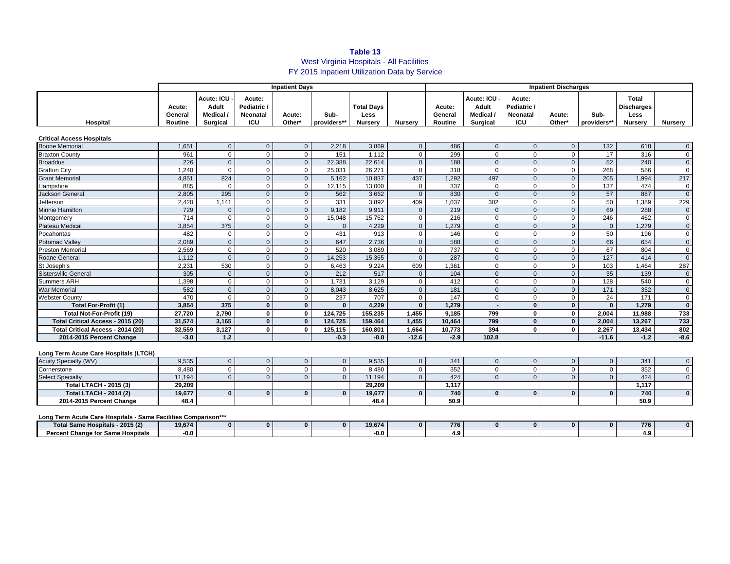## **Table 13** West Virginia Hospitals - All Facilities FY 2015 Inpatient Utilization Data by Service

|                                   | <b>Inpatient Days</b>        |                                                     |                                                      |                  |                     |                                             | <b>Inpatient Discharges</b> |                              |                                                            |                                                 |                  |                     |                                                             |                |
|-----------------------------------|------------------------------|-----------------------------------------------------|------------------------------------------------------|------------------|---------------------|---------------------------------------------|-----------------------------|------------------------------|------------------------------------------------------------|-------------------------------------------------|------------------|---------------------|-------------------------------------------------------------|----------------|
| Hospital                          | Acute:<br>General<br>Routine | Acute: ICU -<br>Adult<br>Medical<br><b>Surgical</b> | Acute:<br>Pediatric<br><b>Neonatal</b><br><b>ICU</b> | Acute:<br>Other* | Sub-<br>providers** | <b>Total Days</b><br>Less<br><b>Nurserv</b> | <b>Nursery</b>              | Acute:<br>General<br>Routine | Acute: ICU<br><b>Adult</b><br>Medical /<br><b>Surgical</b> | Acute:<br>Pediatric /<br><b>Neonatal</b><br>ICU | Acute:<br>Other* | Sub-<br>providers** | Total<br><b>Discharges</b><br><b>Less</b><br><b>Nurserv</b> | Nursery        |
| <b>Critical Access Hospitals</b>  |                              |                                                     |                                                      |                  |                     |                                             |                             |                              |                                                            |                                                 |                  |                     |                                                             |                |
| <b>Boone Memorial</b>             | 1,651                        | $\mathbf{0}$                                        | $\mathbf{0}$                                         | $\Omega$         | 2,218               | 3,869                                       | $\Omega$                    | 486                          | $\mathbf{0}$                                               |                                                 | $\Omega$         | 132                 | 618                                                         | $\overline{0}$ |
| <b>Braxton County</b>             | 961                          | $\mathbf 0$                                         | $\Omega$                                             | $\Omega$         | 151                 | 1,112                                       | $\Omega$                    | 299                          | $\mathbf 0$                                                |                                                 | $\Omega$         | 17                  | 316                                                         | $\mathbf 0$    |
| <b>Broaddus</b>                   | 226                          | $\mathbf{0}$                                        | $\Omega$                                             | $\Omega$         | 22,388              | 22,614                                      | $\Omega$                    | 188                          | $\mathbf{0}$                                               |                                                 | $\Omega$         | 52                  | 240                                                         | $\mathbf{0}$   |
| <b>Grafton City</b>               | 1.240                        | $\Omega$                                            | $\Omega$                                             | 0                | 25.031              | 26.271                                      | $\Omega$                    | 318                          | $\mathbf 0$                                                |                                                 | $\Omega$         | 268                 | 586                                                         | $\mathbf 0$    |
| <b>Grant Memorial</b>             | 4.851                        | 824                                                 | $\mathbf{0}$                                         | $\mathbf{0}$     | 5.162               | 10,837                                      | 437                         | 1,292                        | 497                                                        |                                                 | $\Omega$         | 205                 | 1.994                                                       | 217            |
| Hampshire                         | 885                          | $\mathbf 0$                                         | $\mathbf 0$                                          | $\Omega$         | 12,115              | 13,000                                      | $\Omega$                    | 337                          | $\mathbf 0$                                                |                                                 | $\Omega$         | 137                 | 474                                                         | $\mathbf 0$    |
| <b>Jackson General</b>            | 2.805                        | 295                                                 | $\mathbf{0}$                                         | $\Omega$         | 562                 | 3.662                                       | $\Omega$                    | 830                          | $\mathbf{0}$                                               |                                                 | $\Omega$         | 57                  | 887                                                         | $\mathbf{0}$   |
| Jefferson                         | 2,420                        | 1,141                                               | $\mathbf 0$                                          | $\Omega$         | 331                 | 3,892                                       | 409                         | 1,037                        | 302                                                        |                                                 | $\Omega$         | 50                  | 1,389                                                       | 229            |
| Minnie Hamilton                   | 729                          | $\mathbf{0}$                                        | $\mathbf{0}$                                         | $\Omega$         | 9,182               | 9,911                                       | $\Omega$                    | 219                          | $\mathbf{0}$                                               | $\Omega$                                        | $\Omega$         | 69                  | 288                                                         | $\mathbf{0}$   |
| Montgomery                        | 714                          | $\mathbf 0$                                         | $\mathbf 0$                                          | 0                | 15,048              | 15,762                                      | $\Omega$                    | 216                          | $\mathbf 0$                                                |                                                 | $\Omega$         | 246                 | 462                                                         | $\mathbf 0$    |
| <b>Plateau Medical</b>            | 3,854                        | 375                                                 | $\mathbf{0}$                                         | $\Omega$         | $\Omega$            | 4,229                                       | $\Omega$                    | 1,279                        | $\mathbf{0}$                                               | $\Omega$                                        | $\Omega$         | $\Omega$            | 1,279                                                       | $\mathbf{0}$   |
| Pocahontas                        | 482                          | $\mathbf 0$                                         | $\Omega$                                             | $\Omega$         | 431                 | 913                                         | $\Omega$                    | 146                          | $\mathbf 0$                                                |                                                 | $\Omega$         | 50                  | 196                                                         | $\mathbf 0$    |
| Potomac Valley                    | 2.089                        | $\mathbf{0}$                                        | $\Omega$                                             | $\Omega$         | 647                 | 2,736                                       | $\Omega$                    | 588                          | $\mathbf 0$                                                |                                                 | $\Omega$         | 66                  | 654                                                         | $\mathbf{0}$   |
| <b>Preston Memorial</b>           | 2,569                        | $\mathbf{0}$                                        | $\Omega$                                             | $\Omega$         | 520                 | 3,089                                       | $\Omega$                    | 737                          | $\mathbf 0$                                                |                                                 | $\Omega$         | 67                  | 804                                                         | $\mathbf 0$    |
| Roane General                     | 1,112                        | $\mathbf{0}$                                        | $\mathbf{0}$                                         | $\Omega$         | 14,253              | 15,365                                      | $\Omega$                    | 287                          | $\mathbf{0}$                                               |                                                 | $\mathbf{0}$     | 127                 | 414                                                         | $\mathbf{0}$   |
| St Joseph's                       | 2.231                        | 530                                                 | $\mathbf 0$                                          | $\Omega$         | 6.463               | 9.224                                       | 609                         | 1,361                        | $\mathbf 0$                                                |                                                 | $\Omega$         | 103                 | 1.464                                                       | 287            |
| <b>Sistersville General</b>       | 305                          | $\mathbf{0}$                                        | $\mathbf{0}$                                         | $\Omega$         | 212                 | 517                                         | $\Omega$                    | 104                          | $\mathbf{0}$                                               |                                                 | $\Omega$         | 35                  | 139                                                         | $\mathbf 0$    |
| <b>Summers ARH</b>                | 1.398                        | $\mathbf{0}$                                        | $\Omega$                                             | $\Omega$         | 1.731               | 3.129                                       | $\Omega$                    | 412                          | $\mathbf 0$                                                |                                                 | $\Omega$         | 128                 | 540                                                         | $\mathbf 0$    |
| War Memorial                      | 582                          | $\mathbf{0}$                                        | $\mathbf{0}$                                         | $\Omega$         | 8.043               | 8,625                                       | $\Omega$                    | 181                          | $\mathbf{0}$                                               |                                                 | $\Omega$         | 171                 | 352                                                         | $\mathbf{0}$   |
| <b>Webster County</b>             | 470                          | $\Omega$                                            | $\mathbf 0$                                          | 0                | 237                 | 707                                         | $\Omega$                    | 147                          | $\mathbf 0$                                                |                                                 | $\Omega$         | 24                  | 171                                                         | $\mathbf 0$    |
| Total For-Profit (1)              | 3.854                        | 375                                                 | $\mathbf{0}$                                         | $\Omega$         | $\mathbf{0}$        | 4.229                                       | $\Omega$                    | 1.279                        |                                                            | $\Omega$                                        | $\Omega$         | $\Omega$            | 1.279                                                       | $\mathbf{0}$   |
| <b>Total Not-For-Profit (19)</b>  | 27,720                       | 2,790                                               | $\mathbf{0}$                                         | 0                | 124.725             | 155,235                                     | 1.455                       | 9.185                        | 799                                                        | $\Omega$                                        | $\mathbf{0}$     | 2,004               | 11,988                                                      | 733            |
| Total Critical Access - 2015 (20) | 31.574                       | 3.165                                               | $\mathbf{0}$                                         | $\Omega$         | 124.725             | 159.464                                     | 1.455                       | 10.464                       | 799                                                        | $\Omega$                                        | $\bf{0}$         | 2.004               | 13.267                                                      | 733            |
| Total Critical Access - 2014 (20) | 32,559                       | 3,127                                               | $\mathbf{0}$                                         | $\mathbf{0}$     | 125,115             | 160,801                                     | 1,664                       | 10,773                       | 394                                                        | O                                               | $\mathbf{0}$     | 2,267               | 13,434                                                      | 802            |
| 2014-2015 Percent Change          | $-3.0$                       | $1.2$                                               |                                                      |                  | $-0.3$              | $-0.8$                                      | $-12.6$                     | $-2.9$                       | 102.8                                                      |                                                 |                  | $-11.6$             | $-1.2$                                                      | $-8.6$         |

### **Long Term Acute Care Hospitals (LTCH)**

| <b>Acuity Specialty (WV)</b>  | 9,535  |  |  | 9,535  | 341   |  |  | 341   |  |
|-------------------------------|--------|--|--|--------|-------|--|--|-------|--|
| Cornerstone                   | 8,480  |  |  | 8,480  | 352   |  |  | 352   |  |
| <b>Select Specialty</b>       | 11,194 |  |  | 11.194 | 424   |  |  | 424   |  |
| Total LTACH - 2015 (3)        | 29,209 |  |  | 29,209 | 1.117 |  |  | 1,117 |  |
| <b>Total LTACH - 2014 (2)</b> | 19,677 |  |  | 19.677 | 740   |  |  | 740   |  |
| 2014-2015 Percent Change      | 48.4   |  |  | 48.4   | 50.9  |  |  | 50.9  |  |

#### **Long Term Acute Care Hospitals - Same Facilities Comparison\*\*\***

| Long Term Acate Oare Hospitals - Came Facilities Companson |        |  |  |              |  |        |  |                |  |  |  |  |          |   |
|------------------------------------------------------------|--------|--|--|--------------|--|--------|--|----------------|--|--|--|--|----------|---|
| Total Same Hospitals - 2015 (2)                            | 19.674 |  |  | $\mathbf{a}$ |  | 19,674 |  | $- - -$<br>776 |  |  |  |  | 776      | 0 |
| · Hospitals<br><b>Percent Change for Same.</b>             | -0.0   |  |  |              |  | -0.0   |  |                |  |  |  |  | n<br>4.Y |   |